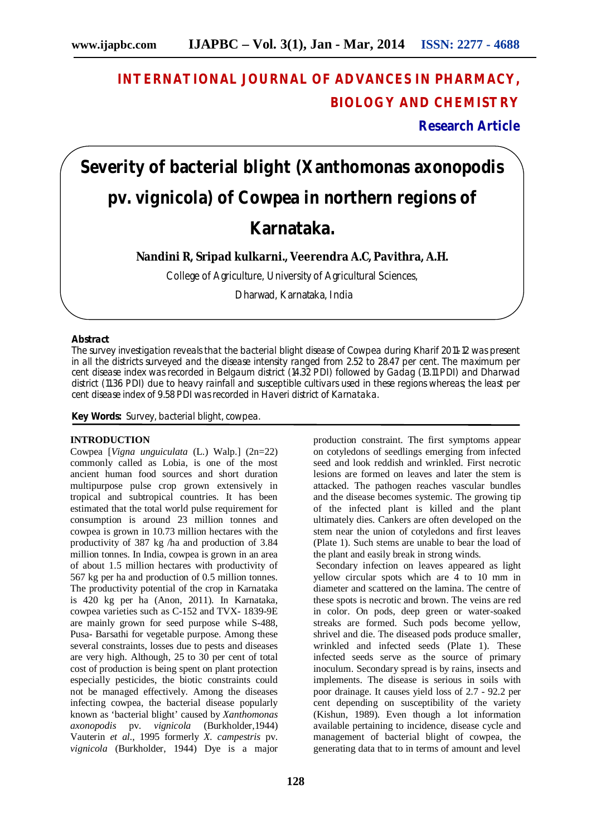## **INTERNATIONAL JOURNAL OF ADVANCES IN PHARMACY, BIOLOGY AND CHEMISTRY**

**Research Article**

# **Severity of bacterial blight (***Xanthomonas axonopodis*  **pv***. vignicola***) of Cowpea in northern regions of Karnataka.**

**Nandini R, Sripad kulkarni., Veerendra A.C, Pavithra, A.H.**

College of Agriculture, University of Agricultural Sciences,

Dharwad, Karnataka, India

#### **Abstract**

The survey investigation reveals that the bacterial blight disease of Cowpea during *Kharif* 2011-12 was present in all the districts surveyed and the disease intensity ranged from 2.52 to 28.47 per cent. The maximum per cent disease index was recorded in Belgaum district (14.32 PDI) followed by Gadag (13.11 PDI) and Dharwad district (11.36 PDI) due to heavy rainfall and susceptible cultivars used in these regions whereas; the least per cent disease index of 9.58 PDI was recorded in Haveri district of Karnataka.

**Key Words:** Survey, bacterial blight, cowpea.

#### **INTRODUCTION**

Cowpea [*Vigna unguiculata* (L.) Walp.] (2n=22) commonly called as Lobia, is one of the most ancient human food sources and short duration multipurpose pulse crop grown extensively in tropical and subtropical countries. It has been estimated that the total world pulse requirement for consumption is around 23 million tonnes and cowpea is grown in 10.73 million hectares with the productivity of 387 kg /ha and production of 3.84 million tonnes. In India, cowpea is grown in an area of about 1.5 million hectares with productivity of 567 kg per ha and production of 0.5 million tonnes. The productivity potential of the crop in Karnataka is 420 kg per ha (Anon, 2011). In Karnataka, cowpea varieties such as C-152 and TVX- 1839-9E are mainly grown for seed purpose while S-488, Pusa- Barsathi for vegetable purpose. Among these several constraints, losses due to pests and diseases are very high. Although, 25 to 30 per cent of total cost of production is being spent on plant protection especially pesticides, the biotic constraints could not be managed effectively. Among the diseases infecting cowpea, the bacterial disease popularly known as 'bacterial blight' caused by *Xanthomonas axonopodis* pv. *vignicola* (Burkholder,1944) Vauterin *et al.*, 1995 formerly *X. campestris* pv. *vignicola* (Burkholder, 1944) Dye is a major

production constraint. The first symptoms appear on cotyledons of seedlings emerging from infected seed and look reddish and wrinkled. First necrotic lesions are formed on leaves and later the stem is attacked. The pathogen reaches vascular bundles and the disease becomes systemic. The growing tip of the infected plant is killed and the plant ultimately dies. Cankers are often developed on the stem near the union of cotyledons and first leaves (Plate 1). Such stems are unable to bear the load of the plant and easily break in strong winds.

Secondary infection on leaves appeared as light yellow circular spots which are 4 to 10 mm in diameter and scattered on the lamina. The centre of these spots is necrotic and brown. The veins are red in color. On pods, deep green or water-soaked streaks are formed. Such pods become yellow, shrivel and die. The diseased pods produce smaller, wrinkled and infected seeds (Plate 1). These infected seeds serve as the source of primary inoculum. Secondary spread is by rains, insects and implements. The disease is serious in soils with poor drainage. It causes yield loss of 2.7 - 92.2 per cent depending on susceptibility of the variety (Kishun, 1989). Even though a lot information available pertaining to incidence, disease cycle and management of bacterial blight of cowpea, the generating data that to in terms of amount and level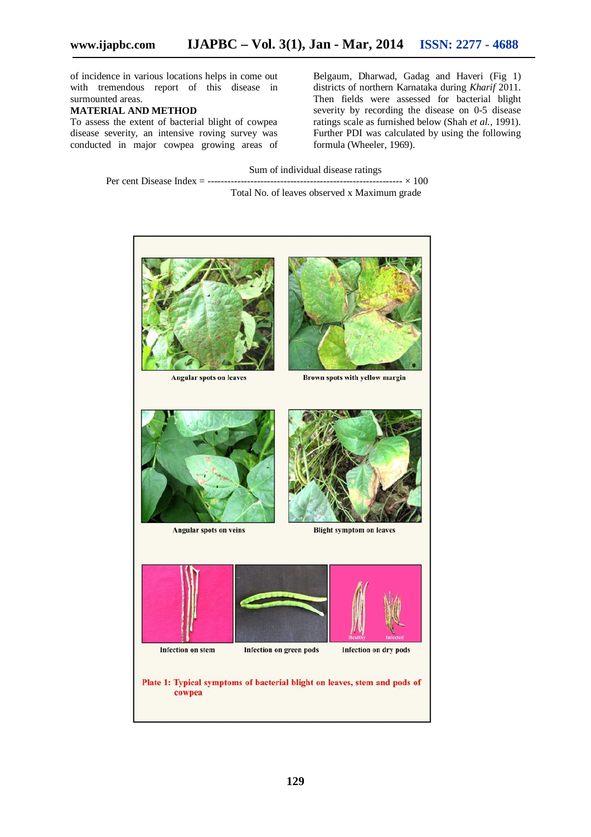of incidence in various locations helps in come out with tremendous report of this disease in surmounted areas.

#### **MATERIAL AND METHOD**

To assess the extent of bacterial blight of cowpea disease severity, an intensive roving survey was conducted in major cowpea growing areas of Belgaum, Dharwad, Gadag and Haveri (Fig 1) districts of northern Karnataka during *Kharif* 2011. Then fields were assessed for bacterial blight severity by recording the disease on 0-5 disease ratings scale as furnished below (Shah *et al.*, 1991). Further PDI was calculated by using the following formula (Wheeler, 1969).

Sum of individual disease ratings Per cent Disease Index = ----------------------------------------------------------- × 100

Total No. of leaves observed x Maximum grade

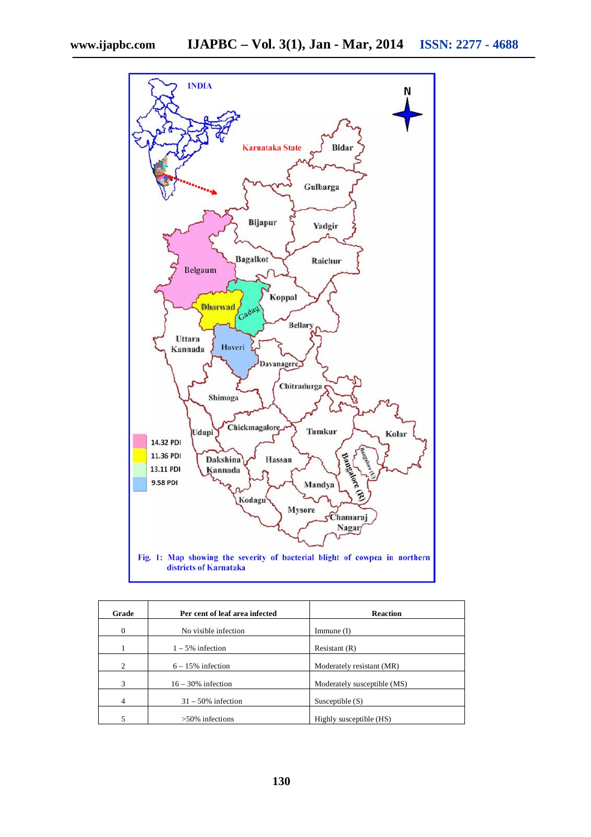

| Grade                       | Per cent of leaf area infected | <b>Reaction</b>             |  |
|-----------------------------|--------------------------------|-----------------------------|--|
| $\Omega$                    | No visible infection           | Immune $(I)$                |  |
|                             | $1 - 5\%$ infection            | Resistant $(R)$             |  |
| $\mathcal{D}_{\mathcal{L}}$ | $6 - 15\%$ infection           | Moderately resistant (MR)   |  |
| 3                           | $16 - 30\%$ infection          | Moderately susceptible (MS) |  |
| 4                           | $31 - 50\%$ infection          | Susceptible $(S)$           |  |
|                             | $>50\%$ infections             | Highly susceptible (HS)     |  |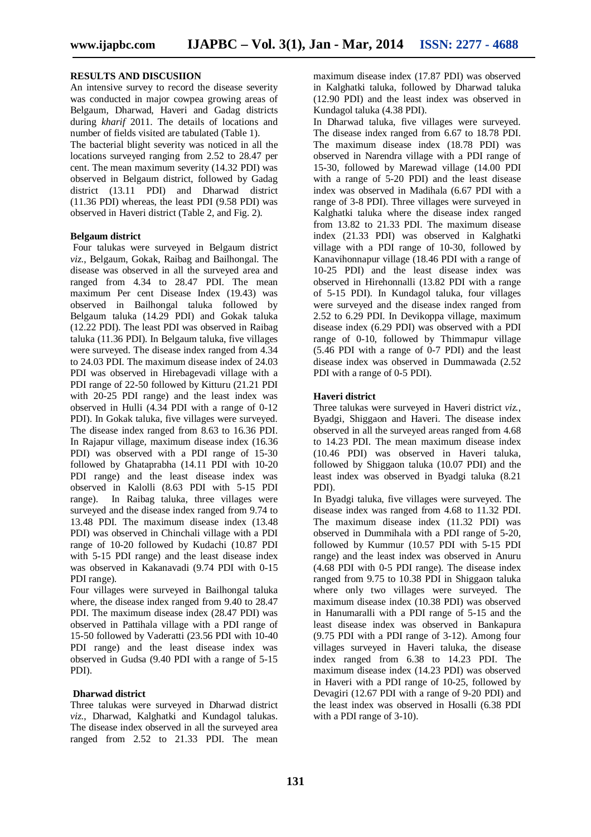#### **RESULTS AND DISCUSIION**

An intensive survey to record the disease severity was conducted in major cowpea growing areas of Belgaum, Dharwad, Haveri and Gadag districts during *kharif* 2011. The details of locations and number of fields visited are tabulated (Table 1).

The bacterial blight severity was noticed in all the locations surveyed ranging from 2.52 to 28.47 per cent. The mean maximum severity (14.32 PDI) was observed in Belgaum district, followed by Gadag district (13.11 PDI) and Dharwad district (11.36 PDI) whereas, the least PDI (9.58 PDI) was observed in Haveri district (Table 2, and Fig. 2).

#### **Belgaum district**

Four talukas were surveyed in Belgaum district *viz.*, Belgaum, Gokak, Raibag and Bailhongal. The disease was observed in all the surveyed area and ranged from 4.34 to 28.47 PDI. The mean maximum Per cent Disease Index (19.43) was observed in Bailhongal taluka followed by Belgaum taluka (14.29 PDI) and Gokak taluka (12.22 PDI). The least PDI was observed in Raibag taluka (11.36 PDI). In Belgaum taluka, five villages were surveyed. The disease index ranged from 4.34 to 24.03 PDI. The maximum disease index of 24.03 PDI was observed in Hirebagevadi village with a PDI range of 22-50 followed by Kitturu (21.21 PDI with 20-25 PDI range) and the least index was observed in Hulli (4.34 PDI with a range of 0-12 PDI). In Gokak taluka, five villages were surveyed. The disease index ranged from 8.63 to 16.36 PDI. In Rajapur village, maximum disease index (16.36 PDI) was observed with a PDI range of 15-30 followed by Ghataprabha (14.11 PDI with 10-20 PDI range) and the least disease index was observed in Kalolli (8.63 PDI with 5-15 PDI range). In Raibag taluka, three villages were surveyed and the disease index ranged from 9.74 to 13.48 PDI. The maximum disease index (13.48 PDI) was observed in Chinchali village with a PDI range of 10-20 followed by Kudachi (10.87 PDI with 5-15 PDI range) and the least disease index was observed in Kakanavadi (9.74 PDI with 0-15 PDI range).

Four villages were surveyed in Bailhongal taluka where, the disease index ranged from 9.40 to 28.47 PDI. The maximum disease index (28.47 PDI) was observed in Pattihala village with a PDI range of 15-50 followed by Vaderatti (23.56 PDI with 10-40 PDI range) and the least disease index was observed in Gudsa (9.40 PDI with a range of 5-15 PDI).

#### **Dharwad district**

Three talukas were surveyed in Dharwad district *viz.*, Dharwad, Kalghatki and Kundagol talukas. The disease index observed in all the surveyed area ranged from 2.52 to 21.33 PDI. The mean

maximum disease index (17.87 PDI) was observed in Kalghatki taluka, followed by Dharwad taluka (12.90 PDI) and the least index was observed in Kundagol taluka (4.38 PDI).

In Dharwad taluka, five villages were surveyed. The disease index ranged from 6.67 to 18.78 PDI. The maximum disease index (18.78 PDI) was observed in Narendra village with a PDI range of 15-30, followed by Marewad village (14.00 PDI with a range of 5-20 PDI) and the least disease index was observed in Madihala (6.67 PDI with a range of 3-8 PDI). Three villages were surveyed in Kalghatki taluka where the disease index ranged from 13.82 to 21.33 PDI. The maximum disease index (21.33 PDI) was observed in Kalghatki village with a PDI range of 10-30, followed by Kanavihonnapur village (18.46 PDI with a range of 10-25 PDI) and the least disease index was observed in Hirehonnalli (13.82 PDI with a range of 5-15 PDI). In Kundagol taluka, four villages were surveyed and the disease index ranged from 2.52 to 6.29 PDI. In Devikoppa village, maximum disease index (6.29 PDI) was observed with a PDI range of 0-10, followed by Thimmapur village (5.46 PDI with a range of 0-7 PDI) and the least disease index was observed in Dummawada (2.52 PDI with a range of 0-5 PDI).

#### **Haveri district**

Three talukas were surveyed in Haveri district *viz.*, Byadgi, Shiggaon and Haveri. The disease index observed in all the surveyed areas ranged from 4.68 to 14.23 PDI. The mean maximum disease index (10.46 PDI) was observed in Haveri taluka, followed by Shiggaon taluka (10.07 PDI) and the least index was observed in Byadgi taluka (8.21 PDI).

In Byadgi taluka, five villages were surveyed. The disease index was ranged from 4.68 to 11.32 PDI. The maximum disease index (11.32 PDI) was observed in Dummihala with a PDI range of 5-20, followed by Kummur (10.57 PDI with 5-15 PDI range) and the least index was observed in Anuru (4.68 PDI with 0-5 PDI range). The disease index ranged from 9.75 to 10.38 PDI in Shiggaon taluka where only two villages were surveyed. The maximum disease index (10.38 PDI) was observed in Hanumaralli with a PDI range of 5-15 and the least disease index was observed in Bankapura (9.75 PDI with a PDI range of 3-12). Among four villages surveyed in Haveri taluka, the disease index ranged from 6.38 to 14.23 PDI. The maximum disease index (14.23 PDI) was observed in Haveri with a PDI range of 10-25, followed by Devagiri (12.67 PDI with a range of 9-20 PDI) and the least index was observed in Hosalli (6.38 PDI with a PDI range of 3-10).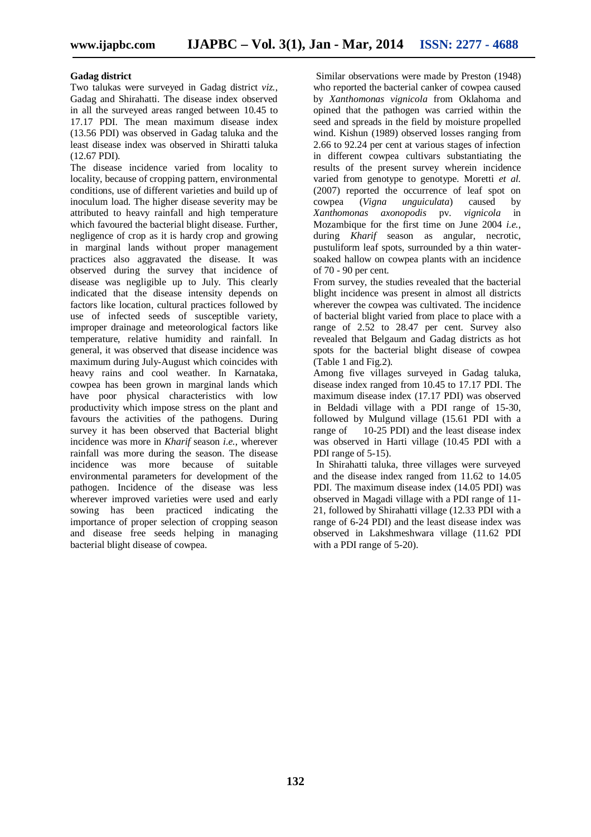#### **Gadag district**

Two talukas were surveyed in Gadag district *viz.*, Gadag and Shirahatti. The disease index observed in all the surveyed areas ranged between 10.45 to 17.17 PDI. The mean maximum disease index (13.56 PDI) was observed in Gadag taluka and the least disease index was observed in Shiratti taluka (12.67 PDI).

The disease incidence varied from locality to locality, because of cropping pattern, environmental conditions, use of different varieties and build up of inoculum load. The higher disease severity may be attributed to heavy rainfall and high temperature which favoured the bacterial blight disease. Further, negligence of crop as it is hardy crop and growing in marginal lands without proper management practices also aggravated the disease. It was observed during the survey that incidence of disease was negligible up to July. This clearly indicated that the disease intensity depends on factors like location, cultural practices followed by use of infected seeds of susceptible variety, improper drainage and meteorological factors like temperature, relative humidity and rainfall. In general, it was observed that disease incidence was maximum during July-August which coincides with heavy rains and cool weather. In Karnataka, cowpea has been grown in marginal lands which have poor physical characteristics with low productivity which impose stress on the plant and favours the activities of the pathogens. During survey it has been observed that Bacterial blight incidence was more in *Kharif* season *i.e.*, wherever rainfall was more during the season. The disease incidence was more because of suitable environmental parameters for development of the pathogen. Incidence of the disease was less wherever improved varieties were used and early sowing has been practiced indicating the importance of proper selection of cropping season and disease free seeds helping in managing bacterial blight disease of cowpea.

Similar observations were made by Preston (1948) who reported the bacterial canker of cowpea caused by *Xanthomonas vignicola* from Oklahoma and opined that the pathogen was carried within the seed and spreads in the field by moisture propelled wind. Kishun (1989) observed losses ranging from 2.66 to 92.24 per cent at various stages of infection in different cowpea cultivars substantiating the results of the present survey wherein incidence varied from genotype to genotype. Moretti *et al.*  $(2007)$  reported the occurrence of leaf spot on<br>cowpea  $(Vigna unguiculata)$  caused by *unguiculata*) *Xanthomonas axonopodis* pv. *vignicola* in Mozambique for the first time on June 2004 *i.e.*, during *Kharif* season as angular, necrotic, pustuliform leaf spots, surrounded by a thin watersoaked hallow on cowpea plants with an incidence of 70 - 90 per cent.

From survey, the studies revealed that the bacterial blight incidence was present in almost all districts wherever the cowpea was cultivated. The incidence of bacterial blight varied from place to place with a range of 2.52 to 28.47 per cent. Survey also revealed that Belgaum and Gadag districts as hot spots for the bacterial blight disease of cowpea (Table 1 and Fig.2).

Among five villages surveyed in Gadag taluka, disease index ranged from 10.45 to 17.17 PDI. The maximum disease index (17.17 PDI) was observed in Beldadi village with a PDI range of 15-30, followed by Mulgund village (15.61 PDI with a range of 10-25 PDI) and the least disease index was observed in Harti village (10.45 PDI with a PDI range of 5-15).

In Shirahatti taluka, three villages were surveyed and the disease index ranged from 11.62 to 14.05 PDI. The maximum disease index (14.05 PDI) was observed in Magadi village with a PDI range of 11- 21, followed by Shirahatti village (12.33 PDI with a range of 6-24 PDI) and the least disease index was observed in Lakshmeshwara village (11.62 PDI with a PDI range of 5-20).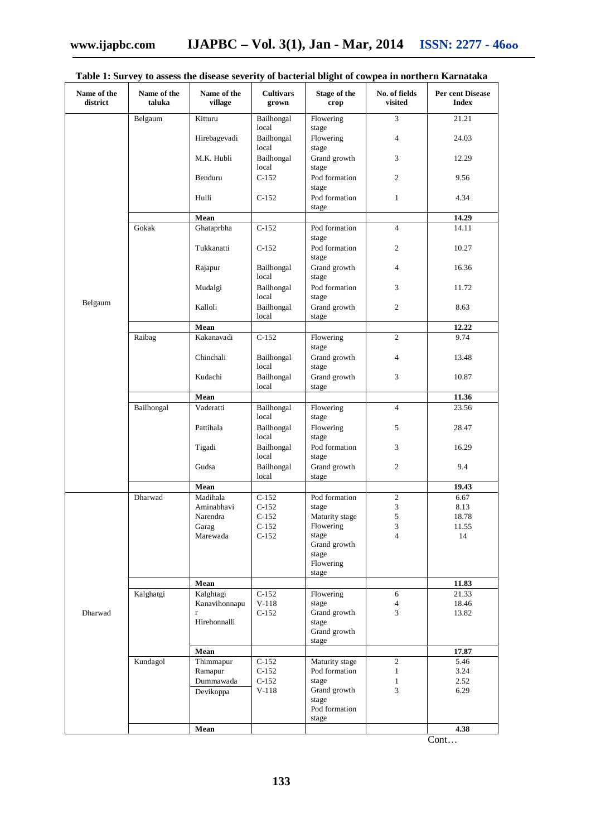| Name of the<br>district | Name of the<br>taluka | Name of the<br>village | <b>Cultivars</b><br>grown    | Stage of the<br>crop           | No. of fields<br>visited | Per cent Disease<br><b>Index</b> |
|-------------------------|-----------------------|------------------------|------------------------------|--------------------------------|--------------------------|----------------------------------|
|                         | Belgaum               | Kitturu                | Bailhongal                   | Flowering                      | $\overline{3}$           | 21.21                            |
|                         |                       | Hirebagevadi           | local<br>Bailhongal<br>local | stage<br>Flowering<br>stage    | $\overline{4}$           | 24.03                            |
|                         |                       | M.K. Hubli             | Bailhongal<br>local          | Grand growth<br>stage          | 3                        | 12.29                            |
|                         |                       | Benduru                | $C-152$                      | Pod formation<br>stage         | $\overline{2}$           | 9.56                             |
|                         |                       | Hulli                  | $C-152$                      | Pod formation<br>stage         | $\mathbf{1}$             | 4.34                             |
|                         |                       | Mean                   |                              |                                |                          | 14.29                            |
|                         | Gokak                 | Ghataprbha             | $C-152$                      | Pod formation<br>stage         | $\overline{4}$           | 14.11                            |
|                         |                       | Tukkanatti             | $C-152$                      | Pod formation<br>stage         | $\overline{2}$           | 10.27                            |
|                         |                       | Rajapur                | Bailhongal<br>local          | Grand growth<br>stage          | $\overline{4}$           | 16.36                            |
|                         |                       | Mudalgi                | Bailhongal<br>local          | Pod formation<br>stage         | 3                        | 11.72                            |
| Belgaum                 |                       | Kalloli                | Bailhongal<br>local          | Grand growth<br>stage          | 2                        | 8.63                             |
|                         |                       | Mean                   |                              |                                |                          | 12.22                            |
|                         | Raibag                | Kakanavadi             | $C-152$                      | Flowering                      | $\overline{2}$           | 9.74                             |
|                         |                       | Chinchali              | Bailhongal<br>local          | stage<br>Grand growth<br>stage | $\overline{4}$           | 13.48                            |
|                         |                       | Kudachi                | Bailhongal<br>local          | Grand growth<br>stage          | 3                        | 10.87                            |
|                         |                       | Mean                   |                              |                                |                          | 11.36                            |
|                         | Bailhongal            | Vaderatti              | Bailhongal<br>local          | Flowering<br>stage             | $\overline{4}$           | 23.56                            |
|                         |                       | Pattihala              | Bailhongal<br>local          | Flowering<br>stage             | 5                        | 28.47                            |
|                         |                       | Tigadi                 | Bailhongal<br>local          | Pod formation<br>stage         | 3                        | 16.29                            |
|                         |                       | Gudsa                  | Bailhongal<br>local          | Grand growth<br>stage          | $\overline{2}$           | 9.4                              |
|                         |                       | Mean                   |                              |                                |                          | 19.43                            |
|                         | Dharwad               | Madihala               | $C-152$                      | Pod formation                  | 2                        | 6.67                             |
|                         |                       | Aminabhavi             | $C-152$                      | stage                          | $\mathfrak{Z}$           | 8.13                             |
|                         |                       | Narendra               | $C-152$                      | Maturity stage                 | 5                        | 18.78                            |
|                         |                       | Garag                  | $C-152$                      | Flowering                      | 3                        | 11.55                            |
|                         |                       | Marewada               | $C-152$                      | stage                          | $\overline{4}$           | 14                               |
|                         |                       |                        |                              | Grand growth                   |                          |                                  |
|                         |                       |                        |                              | stage                          |                          |                                  |
|                         |                       |                        |                              | Flowering<br>stage             |                          |                                  |
| Dharwad                 |                       | Mean                   |                              |                                |                          | 11.83                            |
|                         | Kalghatgi             | Kalghtagi              | $C-152$                      | Flowering                      | 6                        | 21.33                            |
|                         |                       | Kanavihonnapu          | $V-118$                      | stage                          | $\overline{4}$           | 18.46                            |
|                         |                       | $\mathbf r$            | $C-152$                      | Grand growth                   | $\overline{3}$           | 13.82                            |
|                         |                       | Hirehonnalli           |                              | stage                          |                          |                                  |
|                         |                       |                        |                              | Grand growth                   |                          |                                  |
|                         |                       |                        |                              | stage                          |                          |                                  |
|                         |                       | Mean                   |                              |                                |                          | 17.87                            |
|                         | Kundagol              | Thimmapur              | $C-152$                      | Maturity stage                 | $\overline{c}$           | 5.46                             |
|                         |                       | Ramapur                | $C-152$                      | Pod formation                  | $\mathbf{1}$             | 3.24                             |
|                         |                       | Dummawada              | $C-152$<br>$V-118$           | stage<br>Grand growth          | $\mathbf{1}$<br>3        | 2.52                             |
|                         |                       | Devikoppa              |                              | stage                          |                          | 6.29                             |
|                         |                       |                        |                              | Pod formation                  |                          |                                  |
|                         |                       |                        |                              | stage                          |                          | 4.38                             |
|                         |                       | Mean                   |                              |                                |                          |                                  |

### **Table 1: Survey to assess the disease severity of bacterial blight of cowpea in northern Karnataka**

Cont…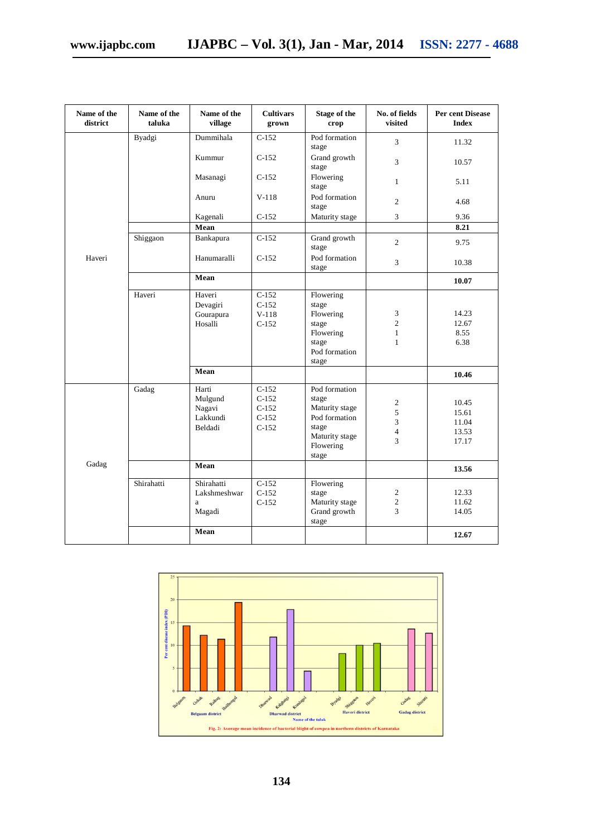| Name of the<br>district | Name of the<br>taluka | Name of the<br>village                             | <b>Cultivars</b><br>grown                           | <b>Stage of the</b><br>crop                                                                                | No. of fields<br>visited                            | Per cent Disease<br><b>Index</b>          |
|-------------------------|-----------------------|----------------------------------------------------|-----------------------------------------------------|------------------------------------------------------------------------------------------------------------|-----------------------------------------------------|-------------------------------------------|
|                         | Byadgi                | Dummihala                                          | $C-152$                                             | Pod formation<br>stage                                                                                     | 3                                                   | 11.32                                     |
|                         |                       | Kummur                                             | $C-152$                                             | Grand growth<br>stage                                                                                      | 3                                                   | 10.57                                     |
|                         |                       | Masanagi                                           | $C-152$                                             | Flowering<br>stage                                                                                         | $\mathbf{1}$                                        | 5.11                                      |
|                         |                       | Anuru                                              | $V-118$                                             | Pod formation<br>stage                                                                                     | $\overline{c}$                                      | 4.68                                      |
|                         |                       | Kagenali                                           | $C-152$                                             | Maturity stage                                                                                             | 3                                                   | 9.36                                      |
|                         |                       | Mean                                               |                                                     |                                                                                                            |                                                     | 8.21                                      |
| Haveri                  | Shiggaon              | Bankapura                                          | $C-152$                                             | Grand growth<br>stage                                                                                      | $\overline{c}$                                      | 9.75                                      |
|                         |                       | Hanumaralli                                        | $C-152$                                             | Pod formation<br>stage                                                                                     | 3                                                   | 10.38                                     |
|                         |                       | Mean                                               |                                                     |                                                                                                            |                                                     | 10.07                                     |
|                         | Haveri                | Haveri<br>Devagiri<br>Gourapura<br>Hosalli<br>Mean | $C-152$<br>$C-152$<br>$V-118$<br>$C-152$            | Flowering<br>stage<br>Flowering<br>stage<br>Flowering<br>stage<br>Pod formation<br>stage                   | 3<br>$\overline{c}$<br>$\mathbf{1}$<br>$\mathbf{1}$ | 14.23<br>12.67<br>8.55<br>6.38<br>10.46   |
| Gadag                   | Gadag                 | Harti<br>Mulgund<br>Nagavi<br>Lakkundi<br>Beldadi  | $C-152$<br>$C-152$<br>$C-152$<br>$C-152$<br>$C-152$ | Pod formation<br>stage<br>Maturity stage<br>Pod formation<br>stage<br>Maturity stage<br>Flowering<br>stage | $\overline{c}$<br>5<br>3<br>$\overline{4}$<br>3     | 10.45<br>15.61<br>11.04<br>13.53<br>17.17 |
|                         |                       | Mean                                               |                                                     |                                                                                                            |                                                     | 13.56                                     |
|                         | Shirahatti            | Shirahatti<br>Lakshmeshwar<br>a<br>Magadi<br>Mean  | $C-152$<br>$C-152$<br>$C-152$                       | Flowering<br>stage<br>Maturity stage<br>Grand growth<br>stage                                              | $\overline{c}$<br>$\overline{2}$<br>3               | 12.33<br>11.62<br>14.05<br>12.67          |